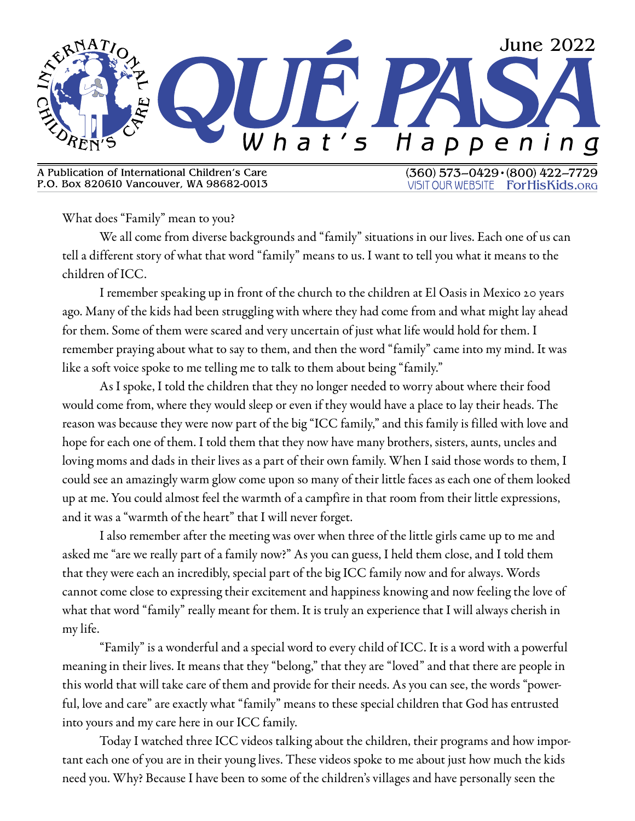

A Publication of International Children's Care P.O. Box 820610 Vancouver, WA 98682-0013  $(360)$  573-0429 $\cdot$  (800) 422-**VISIT OUR WEBSITE** ForHisKids.ORG

What does "Family" mean to you?

We all come from diverse backgrounds and "family" situations in our lives. Each one of us can tell a different story of what that word "family" means to us. I want to tell you what it means to the children of ICC.

I remember speaking up in front of the church to the children at El Oasis in Mexico 20 years ago. Many of the kids had been struggling with where they had come from and what might lay ahead for them. Some of them were scared and very uncertain of just what life would hold for them. I remember praying about what to say to them, and then the word "family" came into my mind. It was like a soft voice spoke to me telling me to talk to them about being "family."

As I spoke, I told the children that they no longer needed to worry about where their food would come from, where they would sleep or even if they would have a place to lay their heads. The reason was because they were now part of the big "ICC family," and this family is filled with love and hope for each one of them. I told them that they now have many brothers, sisters, aunts, uncles and loving moms and dads in their lives as a part of their own family. When I said those words to them, I could see an amazingly warm glow come upon so many of their little faces as each one of them looked up at me. You could almost feel the warmth of a campfire in that room from their little expressions, and it was a "warmth of the heart" that I will never forget.

I also remember after the meeting was over when three of the little girls came up to me and asked me "are we really part of a family now?" As you can guess, I held them close, and I told them that they were each an incredibly, special part of the big ICC family now and for always. Words cannot come close to expressing their excitement and happiness knowing and now feeling the love of what that word "family" really meant for them. It is truly an experience that I will always cherish in my life.

"Family" is a wonderful and a special word to every child of ICC. It is a word with a powerful meaning in their lives. It means that they "belong," that they are "loved" and that there are people in this world that will take care of them and provide for their needs. As you can see, the words "powerful, love and care" are exactly what "family" means to these special children that God has entrusted into yours and my care here in our ICC family.

Today I watched three ICC videos talking about the children, their programs and how important each one of you are in their young lives. These videos spoke to me about just how much the kids need you. Why? Because I have been to some of the children's villages and have personally seen the